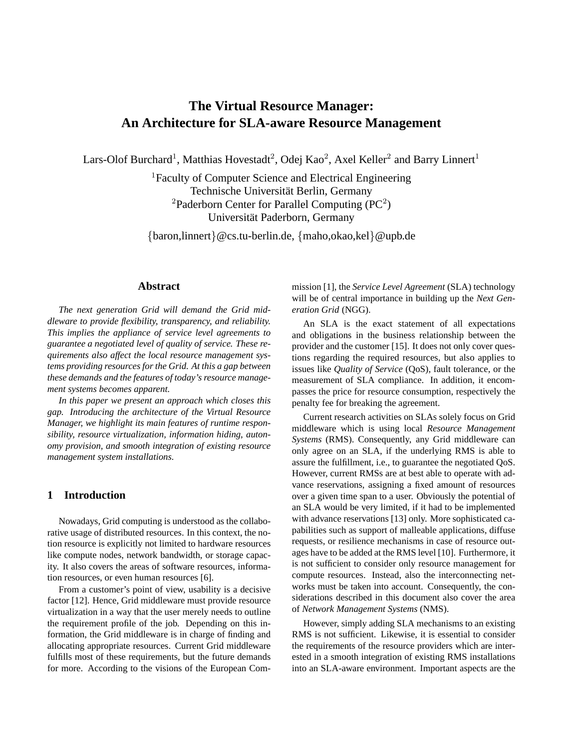# **The Virtual Resource Manager: An Architecture for SLA-aware Resource Management**

Lars-Olof Burchard<sup>1</sup>, Matthias Hovestadt<sup>2</sup>, Odej Kao<sup>2</sup>, Axel Keller<sup>2</sup> and Barry Linnert<sup>1</sup>

<sup>1</sup>Faculty of Computer Science and Electrical Engineering Technische Universität Berlin, Germany <sup>2</sup>Paderborn Center for Parallel Computing  $(PC<sup>2</sup>)$ Universität Paderborn, Germany

{baron,linnert}@cs.tu-berlin.de, {maho,okao,kel}@upb.de

# **Abstract**

*The next generation Grid will demand the Grid middleware to provide flexibility, transparency, and reliability. This implies the appliance of service level agreements to guarantee a negotiated level of quality of service. These requirements also affect the local resource management systems providing resources for the Grid. At this a gap between these demands and the features of today's resource management systems becomes apparent.*

*In this paper we present an approach which closes this gap. Introducing the architecture of the Virtual Resource Manager, we highlight its main features of runtime responsibility, resource virtualization, information hiding, autonomy provision, and smooth integration of existing resource management system installations.*

# **1 Introduction**

Nowadays, Grid computing is understood as the collaborative usage of distributed resources. In this context, the notion resource is explicitly not limited to hardware resources like compute nodes, network bandwidth, or storage capacity. It also covers the areas of software resources, information resources, or even human resources [6].

From a customer's point of view, usability is a decisive factor [12]. Hence, Grid middleware must provide resource virtualization in a way that the user merely needs to outline the requirement profile of the job. Depending on this information, the Grid middleware is in charge of finding and allocating appropriate resources. Current Grid middleware fulfills most of these requirements, but the future demands for more. According to the visions of the European Commission [1], the *Service Level Agreement* (SLA) technology will be of central importance in building up the *Next Generation Grid* (NGG).

An SLA is the exact statement of all expectations and obligations in the business relationship between the provider and the customer [15]. It does not only cover questions regarding the required resources, but also applies to issues like *Quality of Service* (QoS), fault tolerance, or the measurement of SLA compliance. In addition, it encompasses the price for resource consumption, respectively the penalty fee for breaking the agreement.

Current research activities on SLAs solely focus on Grid middleware which is using local *Resource Management Systems* (RMS). Consequently, any Grid middleware can only agree on an SLA, if the underlying RMS is able to assure the fulfillment, i.e., to guarantee the negotiated QoS. However, current RMSs are at best able to operate with advance reservations, assigning a fixed amount of resources over a given time span to a user. Obviously the potential of an SLA would be very limited, if it had to be implemented with advance reservations [13] only. More sophisticated capabilities such as support of malleable applications, diffuse requests, or resilience mechanisms in case of resource outages have to be added at the RMS level [10]. Furthermore, it is not sufficient to consider only resource management for compute resources. Instead, also the interconnecting networks must be taken into account. Consequently, the considerations described in this document also cover the area of *Network Management Systems* (NMS).

However, simply adding SLA mechanisms to an existing RMS is not sufficient. Likewise, it is essential to consider the requirements of the resource providers which are interested in a smooth integration of existing RMS installations into an SLA-aware environment. Important aspects are the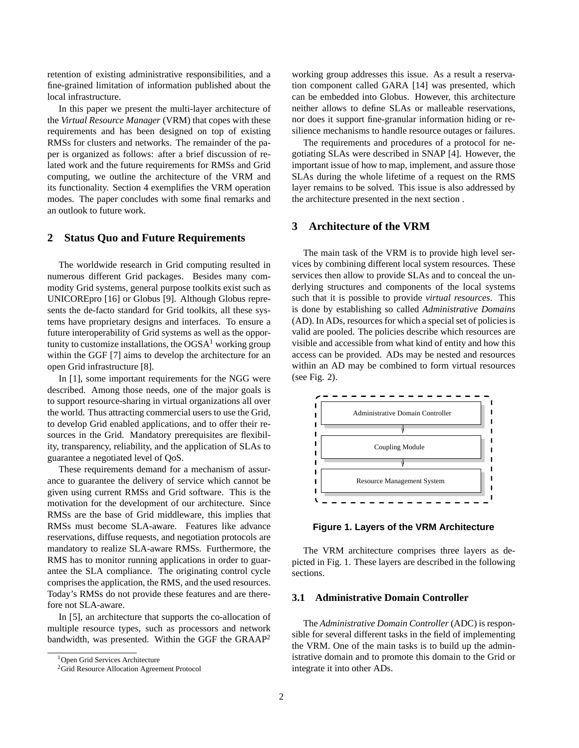retention of existing administrative responsibilities, and a fine-grained limitation of information published about the local infrastructure.

In this paper we present the multi-layer architecture of the *Virtual Resource Manager* (VRM) that copes with these requirements and has been designed on top of existing RMSs for clusters and networks. The remainder of the paper is organized as follows: after a brief discussion of related work and the future requirements for RMSs and Grid computing, we outline the architecture of the VRM and its functionality. Section 4 exemplifies the VRM operation modes. The paper concludes with some final remarks and an outlook to future work.

### **2 Status Quo and Future Requirements**

The worldwide research in Grid computing resulted in numerous different Grid packages. Besides many commodity Grid systems, general purpose toolkits exist such as UNICOREpro [16] or Globus [9]. Although Globus represents the de-facto standard for Grid toolkits, all these systems have proprietary designs and interfaces. To ensure a future interoperability of Grid systems as well as the opportunity to customize installations, the  $OGSA<sup>1</sup>$  working group within the GGF [7] aims to develop the architecture for an open Grid infrastructure [8].

In [1], some important requirements for the NGG were described. Among those needs, one of the major goals is to support resource-sharing in virtual organizations all over the world. Thus attracting commercial users to use the Grid, to develop Grid enabled applications, and to offer their resources in the Grid. Mandatory prerequisites are flexibility, transparency, reliability, and the application of SLAs to guarantee a negotiated level of QoS.

These requirements demand for a mechanism of assurance to guarantee the delivery of service which cannot be given using current RMSs and Grid software. This is the motivation for the development of our architecture. Since RMSs are the base of Grid middleware, this implies that RMSs must become SLA-aware. Features like advance reservations, diffuse requests, and negotiation protocols are mandatory to realize SLA-aware RMSs. Furthermore, the RMS has to monitor running applications in order to guarantee the SLA compliance. The originating control cycle comprises the application, the RMS, and the used resources. Today's RMSs do not provide these features and are therefore not SLA-aware.

In [5], an architecture that supports the co-allocation of multiple resource types, such as processors and network bandwidth, was presented. Within the GGF the GRAAP<sup>2</sup>

working group addresses this issue. As a result a reservation component called GARA [14] was presented, which can be embedded into Globus. However, this architecture neither allows to define SLAs or malleable reservations, nor does it support fine-granular information hiding or resilience mechanisms to handle resource outages or failures.

The requirements and procedures of a protocol for negotiating SLAs were described in SNAP [4]. However, the important issue of how to map, implement, and assure those SLAs during the whole lifetime of a request on the RMS layer remains to be solved. This issue is also addressed by the architecture presented in the next section .

# **3 Architecture of the VRM**

The main task of the VRM is to provide high level services by combining different local system resources. These services then allow to provide SLAs and to conceal the underlying structures and components of the local systems such that it is possible to provide *virtual resources*. This is done by establishing so called *Administrative Domains* (AD). In ADs, resources for which a special set of policies is valid are pooled. The policies describe which resources are visible and accessible from what kind of entity and how this access can be provided. ADs may be nested and resources within an AD may be combined to form virtual resources (see Fig. 2).



**Figure 1. Layers of the VRM Architecture**

The VRM architecture comprises three layers as depicted in Fig. 1. These layers are described in the following sections.

# **3.1 Administrative Domain Controller**

The *Administrative Domain Controller* (ADC) is responsible for several different tasks in the field of implementing the VRM. One of the main tasks is to build up the administrative domain and to promote this domain to the Grid or integrate it into other ADs.

<sup>1</sup>Open Grid Services Architecture

<sup>&</sup>lt;sup>2</sup>Grid Resource Allocation Agreement Protocol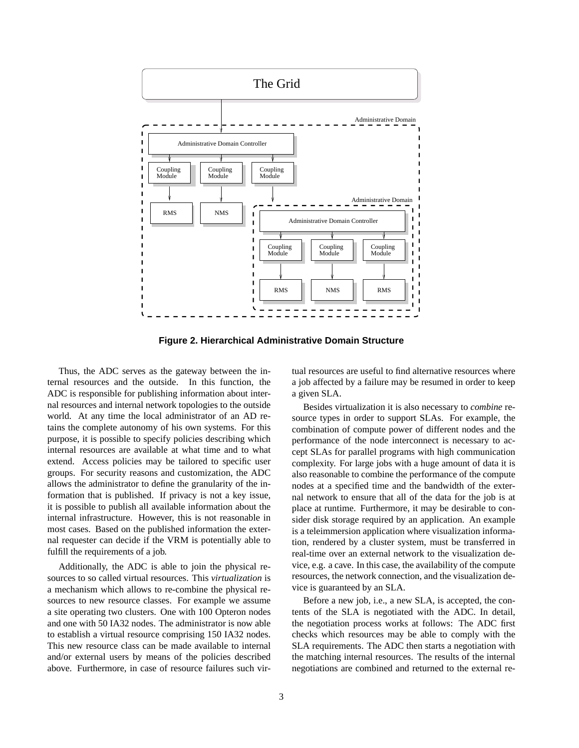

**Figure 2. Hierarchical Administrative Domain Structure**

Thus, the ADC serves as the gateway between the internal resources and the outside. In this function, the ADC is responsible for publishing information about internal resources and internal network topologies to the outside world. At any time the local administrator of an AD retains the complete autonomy of his own systems. For this purpose, it is possible to specify policies describing which internal resources are available at what time and to what extend. Access policies may be tailored to specific user groups. For security reasons and customization, the ADC allows the administrator to define the granularity of the information that is published. If privacy is not a key issue, it is possible to publish all available information about the internal infrastructure. However, this is not reasonable in most cases. Based on the published information the external requester can decide if the VRM is potentially able to fulfill the requirements of a job.

Additionally, the ADC is able to join the physical resources to so called virtual resources. This *virtualization* is a mechanism which allows to re-combine the physical resources to new resource classes. For example we assume a site operating two clusters. One with 100 Opteron nodes and one with 50 IA32 nodes. The administrator is now able to establish a virtual resource comprising 150 IA32 nodes. This new resource class can be made available to internal and/or external users by means of the policies described above. Furthermore, in case of resource failures such virtual resources are useful to find alternative resources where a job affected by a failure may be resumed in order to keep a given SLA.

Besides virtualization it is also necessary to *combine* resource types in order to support SLAs. For example, the combination of compute power of different nodes and the performance of the node interconnect is necessary to accept SLAs for parallel programs with high communication complexity. For large jobs with a huge amount of data it is also reasonable to combine the performance of the compute nodes at a specified time and the bandwidth of the external network to ensure that all of the data for the job is at place at runtime. Furthermore, it may be desirable to consider disk storage required by an application. An example is a teleimmersion application where visualization information, rendered by a cluster system, must be transferred in real-time over an external network to the visualization device, e.g. a cave. In this case, the availability of the compute resources, the network connection, and the visualization device is guaranteed by an SLA.

Before a new job, i.e., a new SLA, is accepted, the contents of the SLA is negotiated with the ADC. In detail, the negotiation process works at follows: The ADC first checks which resources may be able to comply with the SLA requirements. The ADC then starts a negotiation with the matching internal resources. The results of the internal negotiations are combined and returned to the external re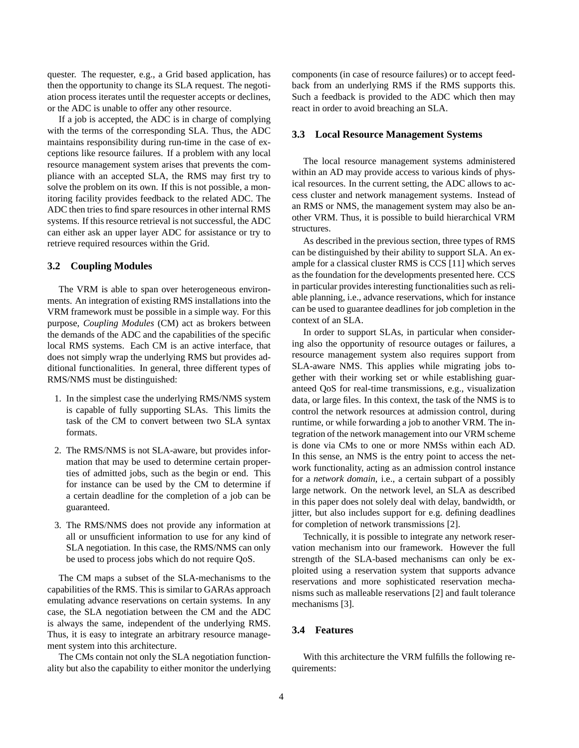quester. The requester, e.g., a Grid based application, has then the opportunity to change its SLA request. The negotiation process iterates until the requester accepts or declines, or the ADC is unable to offer any other resource.

If a job is accepted, the ADC is in charge of complying with the terms of the corresponding SLA. Thus, the ADC maintains responsibility during run-time in the case of exceptions like resource failures. If a problem with any local resource management system arises that prevents the compliance with an accepted SLA, the RMS may first try to solve the problem on its own. If this is not possible, a monitoring facility provides feedback to the related ADC. The ADC then tries to find spare resources in other internal RMS systems. If this resource retrieval is not successful, the ADC can either ask an upper layer ADC for assistance or try to retrieve required resources within the Grid.

#### **3.2 Coupling Modules**

The VRM is able to span over heterogeneous environments. An integration of existing RMS installations into the VRM framework must be possible in a simple way. For this purpose, *Coupling Modules* (CM) act as brokers between the demands of the ADC and the capabilities of the specific local RMS systems. Each CM is an active interface, that does not simply wrap the underlying RMS but provides additional functionalities. In general, three different types of RMS/NMS must be distinguished:

- 1. In the simplest case the underlying RMS/NMS system is capable of fully supporting SLAs. This limits the task of the CM to convert between two SLA syntax formats.
- 2. The RMS/NMS is not SLA-aware, but provides information that may be used to determine certain properties of admitted jobs, such as the begin or end. This for instance can be used by the CM to determine if a certain deadline for the completion of a job can be guaranteed.
- 3. The RMS/NMS does not provide any information at all or unsufficient information to use for any kind of SLA negotiation. In this case, the RMS/NMS can only be used to process jobs which do not require QoS.

The CM maps a subset of the SLA-mechanisms to the capabilities of the RMS. This is similar to GARAs approach emulating advance reservations on certain systems. In any case, the SLA negotiation between the CM and the ADC is always the same, independent of the underlying RMS. Thus, it is easy to integrate an arbitrary resource management system into this architecture.

The CMs contain not only the SLA negotiation functionality but also the capability to either monitor the underlying components (in case of resource failures) or to accept feedback from an underlying RMS if the RMS supports this. Such a feedback is provided to the ADC which then may react in order to avoid breaching an SLA.

#### **3.3 Local Resource Management Systems**

The local resource management systems administered within an AD may provide access to various kinds of physical resources. In the current setting, the ADC allows to access cluster and network management systems. Instead of an RMS or NMS, the management system may also be another VRM. Thus, it is possible to build hierarchical VRM structures.

As described in the previous section, three types of RMS can be distinguished by their ability to support SLA. An example for a classical cluster RMS is CCS [11] which serves as the foundation for the developments presented here. CCS in particular provides interesting functionalities such as reliable planning, i.e., advance reservations, which for instance can be used to guarantee deadlines for job completion in the context of an SLA.

In order to support SLAs, in particular when considering also the opportunity of resource outages or failures, a resource management system also requires support from SLA-aware NMS. This applies while migrating jobs together with their working set or while establishing guaranteed QoS for real-time transmissions, e.g., visualization data, or large files. In this context, the task of the NMS is to control the network resources at admission control, during runtime, or while forwarding a job to another VRM. The integration of the network management into our VRM scheme is done via CMs to one or more NMSs within each AD. In this sense, an NMS is the entry point to access the network functionality, acting as an admission control instance for a *network domain*, i.e., a certain subpart of a possibly large network. On the network level, an SLA as described in this paper does not solely deal with delay, bandwidth, or jitter, but also includes support for e.g. defining deadlines for completion of network transmissions [2].

Technically, it is possible to integrate any network reservation mechanism into our framework. However the full strength of the SLA-based mechanisms can only be exploited using a reservation system that supports advance reservations and more sophisticated reservation mechanisms such as malleable reservations [2] and fault tolerance mechanisms [3].

#### **3.4 Features**

With this architecture the VRM fulfills the following requirements: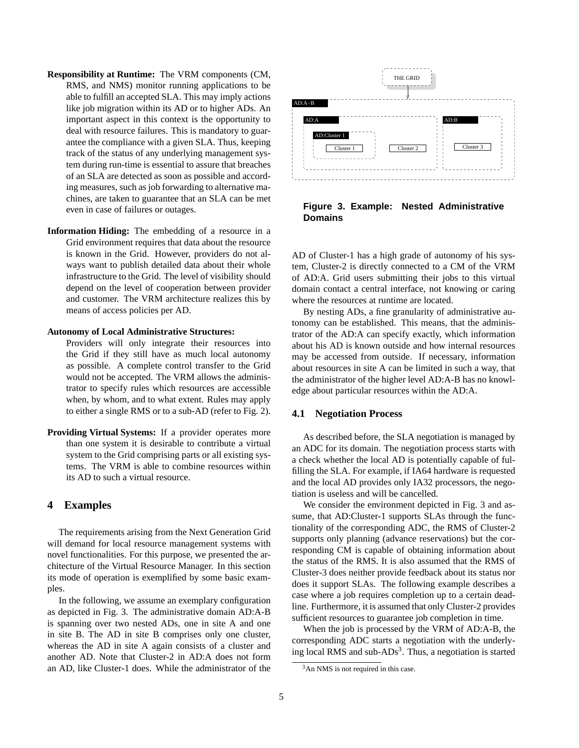- **Responsibility at Runtime:** The VRM components (CM, RMS, and NMS) monitor running applications to be able to fulfill an accepted SLA. This may imply actions like job migration within its AD or to higher ADs. An important aspect in this context is the opportunity to deal with resource failures. This is mandatory to guarantee the compliance with a given SLA. Thus, keeping track of the status of any underlying management system during run-time is essential to assure that breaches of an SLA are detected as soon as possible and according measures, such as job forwarding to alternative machines, are taken to guarantee that an SLA can be met even in case of failures or outages.
- **Information Hiding:** The embedding of a resource in a Grid environment requires that data about the resource is known in the Grid. However, providers do not always want to publish detailed data about their whole infrastructure to the Grid. The level of visibility should depend on the level of cooperation between provider and customer. The VRM architecture realizes this by means of access policies per AD.

#### **Autonomy of Local Administrative Structures:**

Providers will only integrate their resources into the Grid if they still have as much local autonomy as possible. A complete control transfer to the Grid would not be accepted. The VRM allows the administrator to specify rules which resources are accessible when, by whom, and to what extent. Rules may apply to either a single RMS or to a sub-AD (refer to Fig. 2).

**Providing Virtual Systems:** If a provider operates more than one system it is desirable to contribute a virtual system to the Grid comprising parts or all existing systems. The VRM is able to combine resources within its AD to such a virtual resource.

### **4 Examples**

The requirements arising from the Next Generation Grid will demand for local resource management systems with novel functionalities. For this purpose, we presented the architecture of the Virtual Resource Manager. In this section its mode of operation is exemplified by some basic examples.

In the following, we assume an exemplary configuration as depicted in Fig. 3. The administrative domain AD:A-B is spanning over two nested ADs, one in site A and one in site B. The AD in site B comprises only one cluster, whereas the AD in site A again consists of a cluster and another AD. Note that Cluster-2 in AD:A does not form an AD, like Cluster-1 does. While the administrator of the



**Figure 3. Example: Nested Administrative Domains**

AD of Cluster-1 has a high grade of autonomy of his system, Cluster-2 is directly connected to a CM of the VRM of AD:A. Grid users submitting their jobs to this virtual domain contact a central interface, not knowing or caring where the resources at runtime are located.

By nesting ADs, a fine granularity of administrative autonomy can be established. This means, that the administrator of the AD:A can specify exactly, which information about his AD is known outside and how internal resources may be accessed from outside. If necessary, information about resources in site A can be limited in such a way, that the administrator of the higher level AD:A-B has no knowledge about particular resources within the AD:A.

#### **4.1 Negotiation Process**

As described before, the SLA negotiation is managed by an ADC for its domain. The negotiation process starts with a check whether the local AD is potentially capable of fulfilling the SLA. For example, if IA64 hardware is requested and the local AD provides only IA32 processors, the negotiation is useless and will be cancelled.

We consider the environment depicted in Fig. 3 and assume, that AD:Cluster-1 supports SLAs through the functionality of the corresponding ADC, the RMS of Cluster-2 supports only planning (advance reservations) but the corresponding CM is capable of obtaining information about the status of the RMS. It is also assumed that the RMS of Cluster-3 does neither provide feedback about its status nor does it support SLAs. The following example describes a case where a job requires completion up to a certain deadline. Furthermore, it is assumed that only Cluster-2 provides sufficient resources to guarantee job completion in time.

When the job is processed by the VRM of AD:A-B, the corresponding ADC starts a negotiation with the underlying local RMS and sub- $\text{ADS}^3$ . Thus, a negotiation is started

<sup>&</sup>lt;sup>3</sup>An NMS is not required in this case.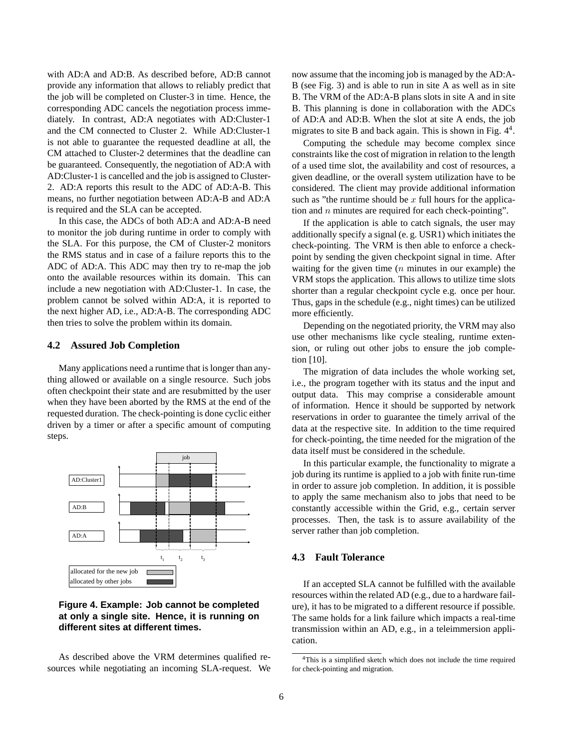with AD:A and AD:B. As described before, AD:B cannot provide any information that allows to reliably predict that the job will be completed on Cluster-3 in time. Hence, the corresponding ADC cancels the negotiation process immediately. In contrast, AD:A negotiates with AD:Cluster-1 and the CM connected to Cluster 2. While AD:Cluster-1 is not able to guarantee the requested deadline at all, the CM attached to Cluster-2 determines that the deadline can be guaranteed. Consequently, the negotiation of AD:A with AD:Cluster-1 is cancelled and the job is assigned to Cluster-2. AD:A reports this result to the ADC of AD:A-B. This means, no further negotiation between AD:A-B and AD:A is required and the SLA can be accepted.

In this case, the ADCs of both AD:A and AD:A-B need to monitor the job during runtime in order to comply with the SLA. For this purpose, the CM of Cluster-2 monitors the RMS status and in case of a failure reports this to the ADC of AD:A. This ADC may then try to re-map the job onto the available resources within its domain. This can include a new negotiation with AD:Cluster-1. In case, the problem cannot be solved within AD:A, it is reported to the next higher AD, i.e., AD:A-B. The corresponding ADC then tries to solve the problem within its domain.

#### **4.2 Assured Job Completion**

Many applications need a runtime that is longer than anything allowed or available on a single resource. Such jobs often checkpoint their state and are resubmitted by the user when they have been aborted by the RMS at the end of the requested duration. The check-pointing is done cyclic either driven by a timer or after a specific amount of computing steps.



# **Figure 4. Example: Job cannot be completed at only a single site. Hence, it is running on different sites at different times.**

As described above the VRM determines qualified resources while negotiating an incoming SLA-request. We now assume that the incoming job is managed by the AD:A-B (see Fig. 3) and is able to run in site A as well as in site B. The VRM of the AD:A-B plans slots in site A and in site B. This planning is done in collaboration with the ADCs of AD:A and AD:B. When the slot at site A ends, the job migrates to site B and back again. This is shown in Fig.  $4<sup>4</sup>$ .

Computing the schedule may become complex since constraints like the cost of migration in relation to the length of a used time slot, the availability and cost of resources, a given deadline, or the overall system utilization have to be considered. The client may provide additional information such as "the runtime should be  $x$  full hours for the application and  $n$  minutes are required for each check-pointing".

If the application is able to catch signals, the user may additionally specify a signal (e. g. USR1) which initiates the check-pointing. The VRM is then able to enforce a checkpoint by sending the given checkpoint signal in time. After waiting for the given time  $(n \text{ minutes in our example})$  the VRM stops the application. This allows to utilize time slots shorter than a regular checkpoint cycle e.g. once per hour. Thus, gaps in the schedule (e.g., night times) can be utilized more efficiently.

Depending on the negotiated priority, the VRM may also use other mechanisms like cycle stealing, runtime extension, or ruling out other jobs to ensure the job completion [10].

The migration of data includes the whole working set, i.e., the program together with its status and the input and output data. This may comprise a considerable amount of information. Hence it should be supported by network reservations in order to guarantee the timely arrival of the data at the respective site. In addition to the time required for check-pointing, the time needed for the migration of the data itself must be considered in the schedule.

In this particular example, the functionality to migrate a job during its runtime is applied to a job with finite run-time in order to assure job completion. In addition, it is possible to apply the same mechanism also to jobs that need to be constantly accessible within the Grid, e.g., certain server processes. Then, the task is to assure availability of the server rather than job completion.

## **4.3 Fault Tolerance**

If an accepted SLA cannot be fulfilled with the available resources within the related AD (e.g., due to a hardware failure), it has to be migrated to a different resource if possible. The same holds for a link failure which impacts a real-time transmission within an AD, e.g., in a teleimmersion application.

<sup>4</sup>This is a simplified sketch which does not include the time required for check-pointing and migration.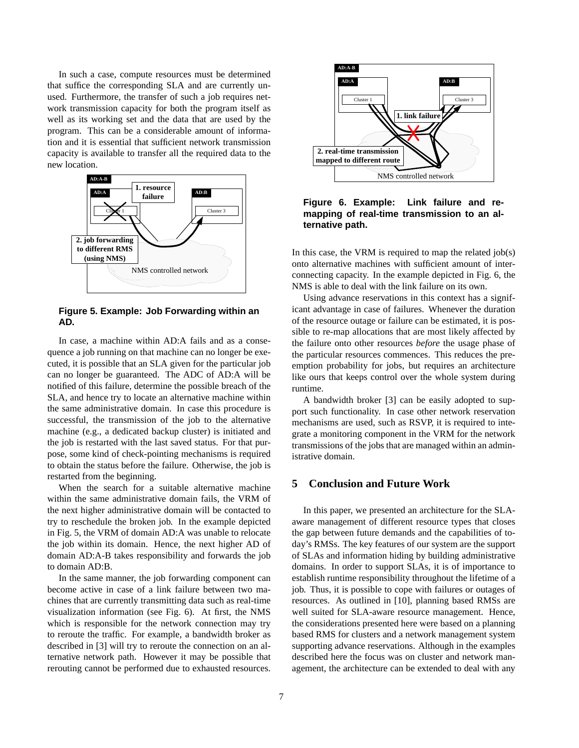In such a case, compute resources must be determined that suffice the corresponding SLA and are currently unused. Furthermore, the transfer of such a job requires network transmission capacity for both the program itself as well as its working set and the data that are used by the program. This can be a considerable amount of information and it is essential that sufficient network transmission capacity is available to transfer all the required data to the new location.



**Figure 5. Example: Job Forwarding within an AD.**

In case, a machine within AD:A fails and as a consequence a job running on that machine can no longer be executed, it is possible that an SLA given for the particular job can no longer be guaranteed. The ADC of AD:A will be notified of this failure, determine the possible breach of the SLA, and hence try to locate an alternative machine within the same administrative domain. In case this procedure is successful, the transmission of the job to the alternative machine (e.g., a dedicated backup cluster) is initiated and the job is restarted with the last saved status. For that purpose, some kind of check-pointing mechanisms is required to obtain the status before the failure. Otherwise, the job is restarted from the beginning.

When the search for a suitable alternative machine within the same administrative domain fails, the VRM of the next higher administrative domain will be contacted to try to reschedule the broken job. In the example depicted in Fig. 5, the VRM of domain AD:A was unable to relocate the job within its domain. Hence, the next higher AD of domain AD:A-B takes responsibility and forwards the job to domain AD:B.

In the same manner, the job forwarding component can become active in case of a link failure between two machines that are currently transmitting data such as real-time visualization information (see Fig. 6). At first, the NMS which is responsible for the network connection may try to reroute the traffic. For example, a bandwidth broker as described in [3] will try to reroute the connection on an alternative network path. However it may be possible that rerouting cannot be performed due to exhausted resources.



**Figure 6. Example: Link failure and remapping of real-time transmission to an alternative path.**

In this case, the VRM is required to map the related  $job(s)$ onto alternative machines with sufficient amount of interconnecting capacity. In the example depicted in Fig. 6, the NMS is able to deal with the link failure on its own.

Using advance reservations in this context has a significant advantage in case of failures. Whenever the duration of the resource outage or failure can be estimated, it is possible to re-map allocations that are most likely affected by the failure onto other resources *before* the usage phase of the particular resources commences. This reduces the preemption probability for jobs, but requires an architecture like ours that keeps control over the whole system during runtime.

A bandwidth broker [3] can be easily adopted to support such functionality. In case other network reservation mechanisms are used, such as RSVP, it is required to integrate a monitoring component in the VRM for the network transmissions of the jobs that are managed within an administrative domain.

# **5 Conclusion and Future Work**

In this paper, we presented an architecture for the SLAaware management of different resource types that closes the gap between future demands and the capabilities of today's RMSs. The key features of our system are the support of SLAs and information hiding by building administrative domains. In order to support SLAs, it is of importance to establish runtime responsibility throughout the lifetime of a job. Thus, it is possible to cope with failures or outages of resources. As outlined in [10], planning based RMSs are well suited for SLA-aware resource management. Hence, the considerations presented here were based on a planning based RMS for clusters and a network management system supporting advance reservations. Although in the examples described here the focus was on cluster and network management, the architecture can be extended to deal with any